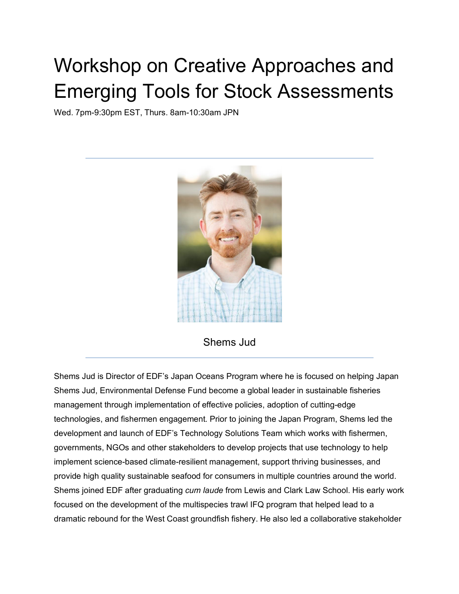## Workshop on Creative Approaches and Emerging Tools for Stock Assessments

Wed. 7pm-9:30pm EST, Thurs. 8am-10:30am JPN



Shems Jud

Shems Jud is Director of EDF's Japan Oceans Program where he is focused on helping Japan Shems Jud, Environmental Defense Fund become a global leader in sustainable fisheries management through implementation of effective policies, adoption of cutting-edge technologies, and fishermen engagement. Prior to joining the Japan Program, Shems led the development and launch of EDF's Technology Solutions Team which works with fishermen, governments, NGOs and other stakeholders to develop projects that use technology to help implement science-based climate-resilient management, support thriving businesses, and provide high quality sustainable seafood for consumers in multiple countries around the world. Shems joined EDF after graduating *cum laude* from Lewis and Clark Law School. His early work focused on the development of the multispecies trawl IFQ program that helped lead to a dramatic rebound for the West Coast groundfish fishery. He also led a collaborative stakeholder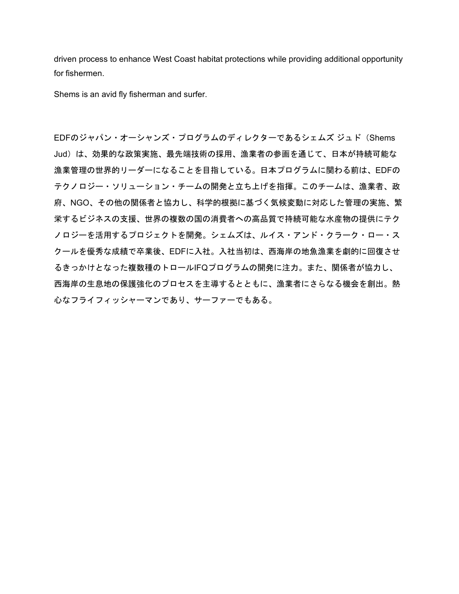driven process to enhance West Coast habitat protections while providing additional opportunity for fishermen.

Shems is an avid fly fisherman and surfer.

EDFのジャパン・オーシャンズ・プログラムのディレクターであるシェムズ ジュド(Shems Jud)は、効果的な政策実施、最先端技術の採用、漁業者の参画を通じて、日本が持続可能な 漁業管理の世界的リーダーになることを目指している。日本プログラムに関わる前は、EDFの テクノロジー・ソリューション・チームの開発と立ち上げを指揮。このチームは、漁業者、政 府、NGO、その他の関係者と協力し、科学的根拠に基づく気候変動に対応した管理の実施、繁 栄するビジネスの支援、世界の複数の国の消費者への高品質で持続可能な水産物の提供にテク ノロジーを活用するプロジェクトを開発。シェムズは、ルイス・アンド・クラーク・ロー・ス クールを優秀な成績で卒業後、EDFに入社。入社当初は、西海岸の地魚漁業を劇的に回復させ るきっかけとなった複数種のトロールIFQプログラムの開発に注力。また、関係者が協力し、 西海岸の生息地の保護強化のプロセスを主導するとともに、漁業者にさらなる機会を創出。熱 心なフライフィッシャーマンであり、サーファーでもある。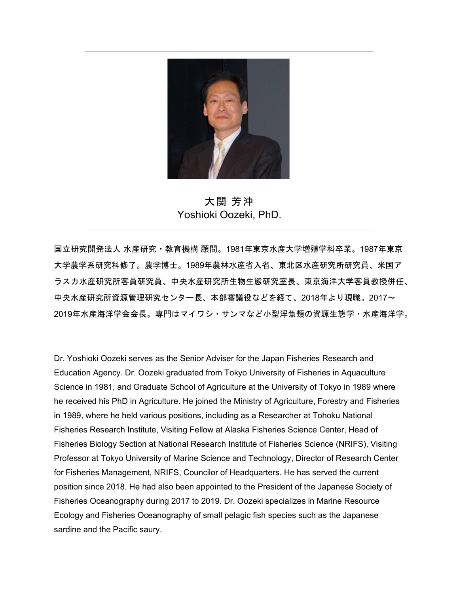

大関 芳沖 Yoshioki Oozeki, PhD.

国立研究開発法人 水産研究・教育機構 顧問。1981年東京水産大学増殖学科卒業。1987年東京 大学農学系研究科修了。農学博士。1989年農林水産省入省、東北区水産研究所研究員、米国ア ラスカ水産研究所客員研究員、中央水産研究所生物生態研究室長、東京海洋大学客員教授併任、 中央水産研究所資源管理研究センター長、本部審議役などを経て、2018年より現職。2017~ 2019年水産海洋学会会長。専門はマイワシ・サンマなど小型浮魚類の資源生態学・水産海洋学。

Dr. Yoshioki Oozeki serves as the Senior Adviser for the Japan Fisheries Research and Education Agency. Dr. Oozeki graduated from Tokyo University of Fisheries in Aquaculture Science in 1981, and Graduate School of Agriculture at the University of Tokyo in 1989 where he received his PhD in Agriculture. He joined the Ministry of Agriculture, Forestry and Fisheries in 1989, where he held various positions, including as a Researcher at Tohoku National Fisheries Research Institute, Visiting Fellow at Alaska Fisheries Science Center, Head of Fisheries Biology Section at National Research Institute of Fisheries Science (NRIFS), Visiting Professor at Tokyo University of Marine Science and Technology, Director of Research Center for Fisheries Management, NRIFS, Councilor of Headquarters. He has served the current position since 2018. He had also been appointed to the President of the Japanese Society of Fisheries Oceanography during 2017 to 2019. Dr. Oozeki specializes in Marine Resource Ecology and Fisheries Oceanography of small pelagic fish species such as the Japanese sardine and the Pacific saury.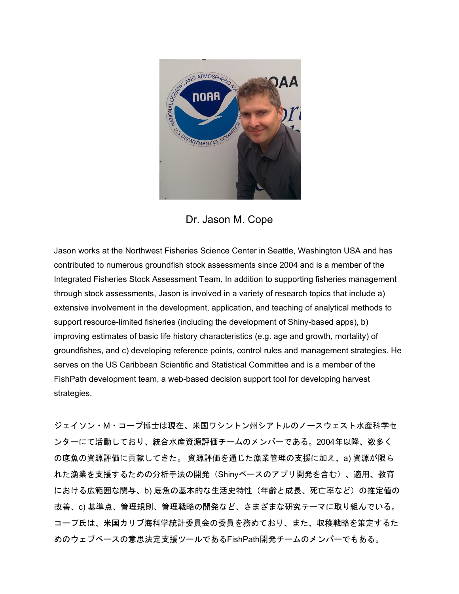



Jason works at the Northwest Fisheries Science Center in Seattle, Washington USA and has contributed to numerous groundfish stock assessments since 2004 and is a member of the Integrated Fisheries Stock Assessment Team. In addition to supporting fisheries management through stock assessments, Jason is involved in a variety of research topics that include a) extensive involvement in the development, application, and teaching of analytical methods to support resource-limited fisheries (including the development of Shiny-based apps), b) improving estimates of basic life history characteristics (e.g. age and growth, mortality) of groundfishes, and c) developing reference points, control rules and management strategies. He serves on the US Caribbean Scientific and Statistical Committee and is a member of the FishPath development team, a web-based decision support tool for developing harvest strategies.

ジェイソン・M・コープ博士は現在、米国ワシントン州シアトルのノースウェスト水産科学セ ンターにて活動しており、統合水産資源評価チームのメンバーである。2004年以降、数多く の底魚の資源評価に貢献してきた。 資源評価を通じた漁業管理の支援に加え、a) 資源が限ら れた漁業を支援するための分析手法の開発(Shinyベースのアプリ開発を含む)、適用、教育 における広範囲な関与、b) 底魚の基本的な生活史特性(年齢と成長、死亡率など)の推定値の 改善、c) 基準点、管理規則、管理戦略の開発など、さまざまな研究テーマに取り組んでいる。 コープ氏は、米国カリブ海科学統計委員会の委員を務めており、また、収穫戦略を策定するた めのウェブベースの意思決定支援ツールであるFishPath開発チームのメンバーでもある。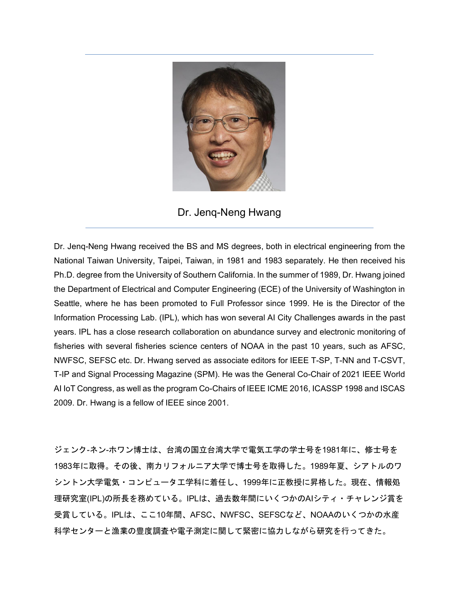

Dr. Jenq-Neng Hwang

Dr. Jenq-Neng Hwang received the BS and MS degrees, both in electrical engineering from the National Taiwan University, Taipei, Taiwan, in 1981 and 1983 separately. He then received his Ph.D. degree from the University of Southern California. In the summer of 1989, Dr. Hwang joined the Department of Electrical and Computer Engineering (ECE) of the University of Washington in Seattle, where he has been promoted to Full Professor since 1999. He is the Director of the Information Processing Lab. (IPL), which has won several AI City Challenges awards in the past years. IPL has a close research collaboration on abundance survey and electronic monitoring of fisheries with several fisheries science centers of NOAA in the past 10 years, such as AFSC, NWFSC, SEFSC etc. Dr. Hwang served as associate editors for IEEE T-SP, T-NN and T-CSVT, T-IP and Signal Processing Magazine (SPM). He was the General Co-Chair of 2021 IEEE World AI IoT Congress, as well as the program Co-Chairs of IEEE ICME 2016, ICASSP 1998 and ISCAS 2009. Dr. Hwang is a fellow of IEEE since 2001.

ジェンク-ネン-ホワン博士は、台湾の国立台湾大学で電気工学の学士号を1981年に、修士号を 1983年に取得。その後、南カリフォルニア大学で博士号を取得した。1989年夏、シアトルのワ シントン大学電気・コンピュータ工学科に着任し、1999年に正教授に昇格した。現在、情報処 理研究室(IPL)の所長を務めている。IPLは、過去数年間にいくつかのAIシティ・チャレンジ賞を 受賞している。IPLは、ここ10年間、AFSC、NWFSC、SEFSCなど、NOAAのいくつかの水産 科学センターと漁業の豊度調査や電子測定に関して緊密に協力しながら研究を行ってきた。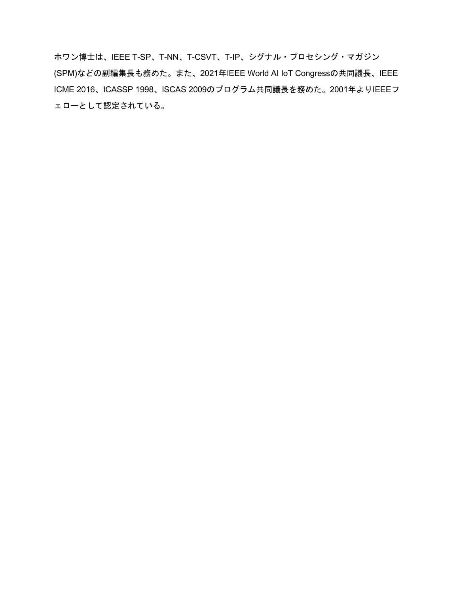ホワン博士は、IEEE T-SP、T-NN、T-CSVT、T-IP、シグナル・プロセシング・マガジン (SPM)などの副編集長も務めた。また、2021年IEEE World AI IoT Congressの共同議長、IEEE ICME 2016、ICASSP 1998、ISCAS 2009のプログラム共同議長を務めた。2001年よりIEEEフ ェローとして認定されている。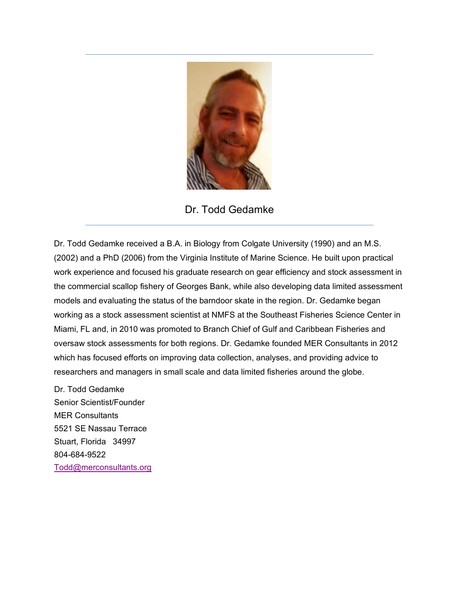

Dr. Todd Gedamke

Dr. Todd Gedamke received a B.A. in Biology from Colgate University (1990) and an M.S. (2002) and a PhD (2006) from the Virginia Institute of Marine Science. He built upon practical work experience and focused his graduate research on gear efficiency and stock assessment in the commercial scallop fishery of Georges Bank, while also developing data limited assessment models and evaluating the status of the barndoor skate in the region. Dr. Gedamke began working as a stock assessment scientist at NMFS at the Southeast Fisheries Science Center in Miami, FL and, in 2010 was promoted to Branch Chief of Gulf and Caribbean Fisheries and oversaw stock assessments for both regions. Dr. Gedamke founded MER Consultants in 2012 which has focused efforts on improving data collection, analyses, and providing advice to researchers and managers in small scale and data limited fisheries around the globe.

Dr. Todd Gedamke Senior Scientist/Founder MER Consultants 5521 SE Nassau Terrace Stuart, Florida 34997 804-684-9522 [Todd@merconsultants.org](mailto:Todd@merconsultants.org)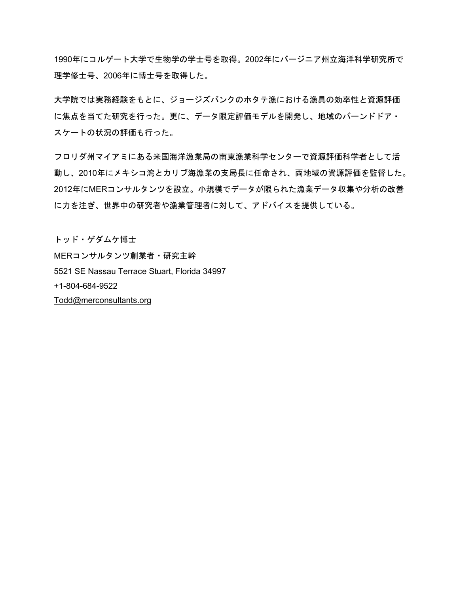1990年にコルゲート大学で生物学の学士号を取得。2002年にバージニア州立海洋科学研究所で 理学修士号、2006年に博士号を取得した。

大学院では実務経験をもとに、ジョージズバンクのホタテ漁における漁具の効率性と資源評価 に焦点を当てた研究を行った。更に、データ限定評価モデルを開発し、地域のバーンドドア・ スケートの状況の評価も行った。

フロリダ州マイアミにある米国海洋漁業局の南東漁業科学センターで資源評価科学者として活 動し、2010年にメキシコ湾とカリブ海漁業の支局長に任命され、両地域の資源評価を監督した。 2012年にMERコンサルタンツを設立。小規模でデータが限られた漁業データ収集や分析の改善 に力を注ぎ、世界中の研究者や漁業管理者に対して、アドバイスを提供している。

トッド・ゲダムケ博士 MERコンサルタンツ創業者・研究主幹 5521 SE Nassau Terrace Stuart, Florida 34997 +1-804-684-9522 [Todd@merconsultants.org](mailto:Todd@merconsultants.org)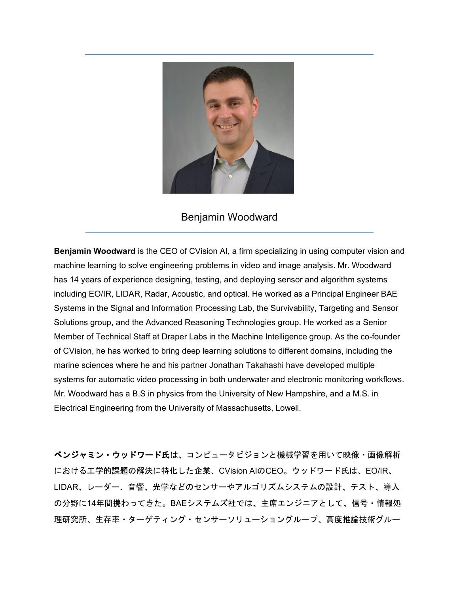

## Benjamin Woodward

**Benjamin Woodward** is the CEO of CVision AI, a firm specializing in using computer vision and machine learning to solve engineering problems in video and image analysis. Mr. Woodward has 14 years of experience designing, testing, and deploying sensor and algorithm systems including EO/IR, LIDAR, Radar, Acoustic, and optical. He worked as a Principal Engineer BAE Systems in the Signal and Information Processing Lab, the Survivability, Targeting and Sensor Solutions group, and the Advanced Reasoning Technologies group. He worked as a Senior Member of Technical Staff at Draper Labs in the Machine Intelligence group. As the co-founder of CVision, he has worked to bring deep learning solutions to different domains, including the marine sciences where he and his partner Jonathan Takahashi have developed multiple systems for automatic video processing in both underwater and electronic monitoring workflows. Mr. Woodward has a B.S in physics from the University of New Hampshire, and a M.S. in Electrical Engineering from the University of Massachusetts, Lowell.

ベンジャミン・ウッドワード氏は、コンピュータビジョンと機械学習を用いて映像・画像解析 における工学的課題の解決に特化した企業、CVision AIのCEO。ウッドワード氏は、EO/IR、 LIDAR、レーダー、音響、光学などのセンサーやアルゴリズムシステムの設計、テスト、導入 の分野に14年間携わってきた。BAEシステムズ社では、主席エンジニアとして、信号・情報処 理研究所、生存率・ターゲティング・センサーソリューショングループ、高度推論技術グルー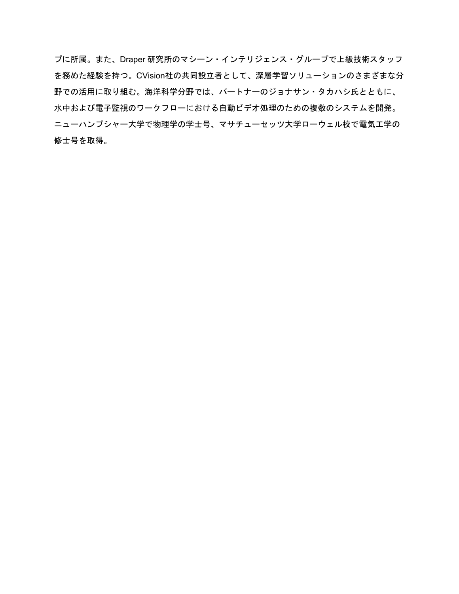プに所属。また、Draper 研究所のマシーン・インテリジェンス・グループで上級技術スタッフ を務めた経験を持つ。CVision社の共同設立者として、深層学習ソリューションのさまざまな分 野での活用に取り組む。海洋科学分野では、パートナーのジョナサン・タカハシ氏とともに、 水中および電子監視のワークフローにおける自動ビデオ処理のための複数のシステムを開発。 ニューハンプシャー大学で物理学の学士号、マサチューセッツ大学ローウェル校で電気工学の 修士号を取得。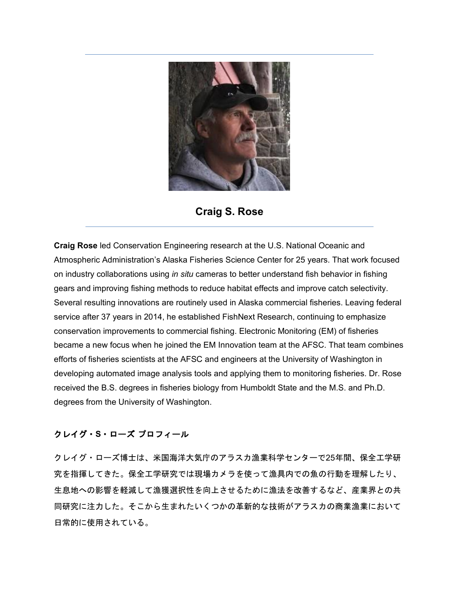

**Craig S. Rose**

**Craig Rose** led Conservation Engineering research at the U.S. National Oceanic and Atmospheric Administration's Alaska Fisheries Science Center for 25 years. That work focused on industry collaborations using *in situ* cameras to better understand fish behavior in fishing gears and improving fishing methods to reduce habitat effects and improve catch selectivity. Several resulting innovations are routinely used in Alaska commercial fisheries. Leaving federal service after 37 years in 2014, he established FishNext Research, continuing to emphasize conservation improvements to commercial fishing. Electronic Monitoring (EM) of fisheries became a new focus when he joined the EM Innovation team at the AFSC. That team combines efforts of fisheries scientists at the AFSC and engineers at the University of Washington in developing automated image analysis tools and applying them to monitoring fisheries. Dr. Rose received the B.S. degrees in fisheries biology from Humboldt State and the M.S. and Ph.D. degrees from the University of Washington.

## クレイグ・**S**・ローズ プロフィール

クレイグ・ローズ博士は、米国海洋大気庁のアラスカ漁業科学センターで25年間、保全工学研 究を指揮してきた。保全工学研究では現場カメラを使って漁具内での魚の行動を理解したり、 生息地への影響を軽減して漁獲選択性を向上させるために漁法を改善するなど、産業界との共 同研究に注力した。そこから生まれたいくつかの革新的な技術がアラスカの商業漁業において 日常的に使用されている。